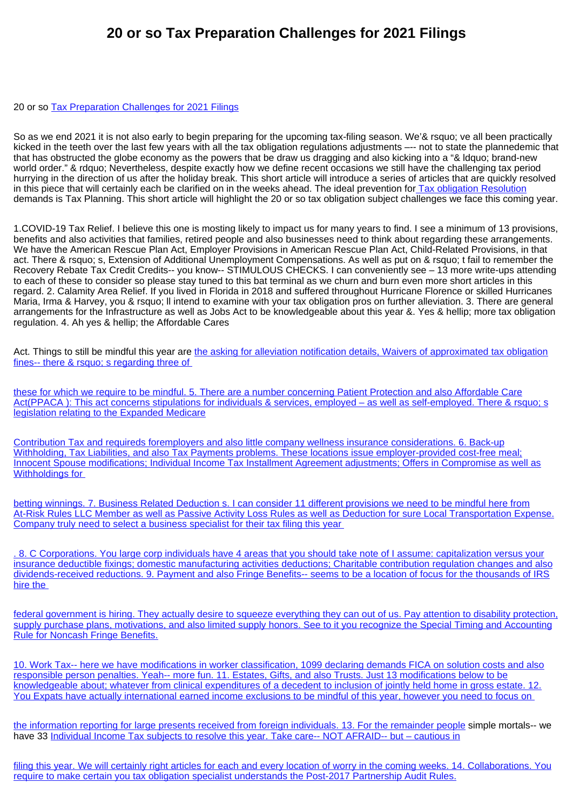## **20 or so Tax Preparation Challenges for 2021 Filings**

## 20 or so [Tax Preparation Challenges for 2021 Filings](https://taxresolutionsachse.com)

So as we end 2021 it is not also early to begin preparing for the upcoming tax-filing season. We'& rsquo; ve all been practically kicked in the teeth over the last few years with all the tax obligation regulations adjustments –-- not to state the plannedemic that that has obstructed the globe economy as the powers that be draw us dragging and also kicking into a "& ldquo; brand-new world order." & rdquo; Nevertheless, despite exactly how we define recent occasions we still have the challenging tax period hurrying in the direction of us after the holiday break. This short article will introduce a series of articles that are quickly resolved in this piece that will certainly each be clarified on in the weeks ahead. The ideal prevention fo[r Tax obligation Resolution](https://www.executivetaxsolution.com/blogs) demands is Tax Planning. This short article will highlight the 20 or so tax obligation subject challenges we face this coming year.

1.COVID-19 Tax Relief. I believe this one is mosting likely to impact us for many years to find. I see a minimum of 13 provisions, benefits and also activities that families, retired people and also businesses need to think about regarding these arrangements. We have the American Rescue Plan Act, Employer Provisions in American Rescue Plan Act, Child-Related Provisions, in that act. There & rsquo; s, Extension of Additional Unemployment Compensations. As well as put on & rsquo; t fail to remember the Recovery Rebate Tax Credit Credits-- you know-- STIMULOUS CHECKS. I can conveniently see – 13 more write-ups attending to each of these to consider so please stay tuned to this bat terminal as we churn and burn even more short articles in this regard. 2. Calamity Area Relief. If you lived in Florida in 2018 and suffered throughout Hurricane Florence or skilled Hurricanes Maria, Irma & Harvey, you & rsquo; ll intend to examine with your tax obligation pros on further alleviation. 3. There are general arrangements for the Infrastructure as well as Jobs Act to be knowledgeable about this year &. Yes & hellip; more tax obligation regulation. 4. Ah yes & hellip; the Affordable Cares

Act. Things to still be mindful this year are [the asking for alleviation notification details, Waivers of approximated tax obligation](https://taxresolutionsachse.com) [fines-- there & rsquo; s regarding three of](https://taxresolutionsachse.com) 

[these for which we require to be mindful. 5. There are a number concerning Patient Protection and also Affordable Care](https://taxresolutionsachse.com) [Act\(PPACA \): This act concerns stipulations for individuals & services, employed – as well as self-employed. There & rsquo; s](https://taxresolutionsachse.com) [legislation relating to the Expanded Medicare](https://taxresolutionsachse.com)

[Contribution Tax and requireds foremployers and also little company wellness insurance considerations. 6. Back-up](https://taxresolutionsachse.com) [Withholding, Tax Liabilities, and also Tax Payments problems. These locations issue employer-provided cost-free meal;](https://taxresolutionsachse.com) [Innocent Spouse modifications; Individual Income Tax Installment Agreement adjustments; Offers in Compromise as well as](https://taxresolutionsachse.com) Withholdings for

[betting winnings. 7. Business Related Deduction s. I can consider 11 different provisions we need to be mindful here from](https://taxresolutionsachse.com) [At-Risk Rules LLC Member as well as Passive Activity Loss Rules as well as Deduction for sure Local Transportation Expense.](https://taxresolutionsachse.com) [Company truly need to select a business specialist for their tax filing this year](https://taxresolutionsachse.com) 

[. 8. C Corporations. You large corp individuals have 4 areas that you should take note of I assume: capitalization versus your](https://taxresolutionsachse.com) [insurance deductible fixings; domestic manufacturing activities deductions; Charitable contribution regulation changes and also](https://taxresolutionsachse.com) [dividends-received reductions. 9. Payment and also Fringe Benefits-- seems to be a location of focus for the thousands of IRS](https://taxresolutionsachse.com) [hire the](https://taxresolutionsachse.com) 

[federal government is hiring. They actually desire to squeeze everything they can out of us. Pay attention to disability protection,](https://taxresolutionsachse.com) [supply purchase plans, motivations, and also limited supply honors. See to it you recognize the Special Timing and Accounting](https://taxresolutionsachse.com) [Rule for Noncash Fringe Benefits.](https://taxresolutionsachse.com)

[10. Work Tax-- here we have modifications in worker classification, 1099 declaring demands FICA on solution costs and also](https://taxresolutionsachse.com) [responsible person penalties. Yeah-- more fun. 11. Estates, Gifts, and also Trusts. Just 13 modifications below to be](https://taxresolutionsachse.com) [knowledgeable about; whatever from clinical expenditures of a decedent to inclusion of jointly held home in gross estate. 12.](https://taxresolutionsachse.com) [You Expats have actually international earned income exclusions to be mindful of this year, however you need to focus on](https://taxresolutionsachse.com) 

[the information reporting for large presents received from foreign individuals. 13. For the remainder people](https://taxresolutionsachse.com) simple mortals-- we have 33 [Individual Income Tax subjects to resolve this year. Take care-- NOT AFRAID-- but – cautious in](https://taxresolutionsachse.com)

[filing this year. We will certainly right articles for each and every location of worry in the coming weeks. 14. Collaborations. You](https://taxresolutionsachse.com) [require to make certain you tax obligation specialist understands the Post-2017 Partnership Audit Rules.](https://taxresolutionsachse.com)